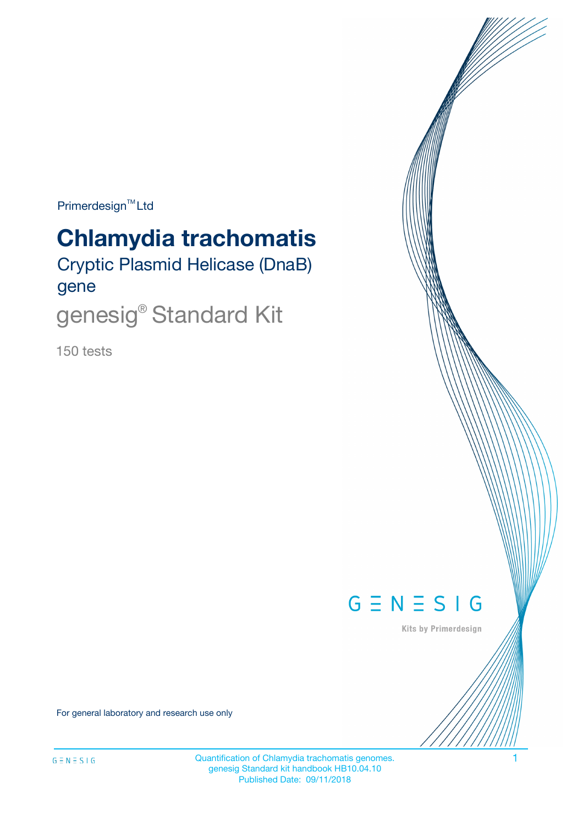Primerdesign<sup>™</sup>Ltd

# **Chlamydia trachomatis**

Cryptic Plasmid Helicase (DnaB) gene

genesig® Standard Kit

150 tests



Kits by Primerdesign

For general laboratory and research use only

Quantification of Chlamydia trachomatis genomes. 1 genesig Standard kit handbook HB10.04.10 Published Date: 09/11/2018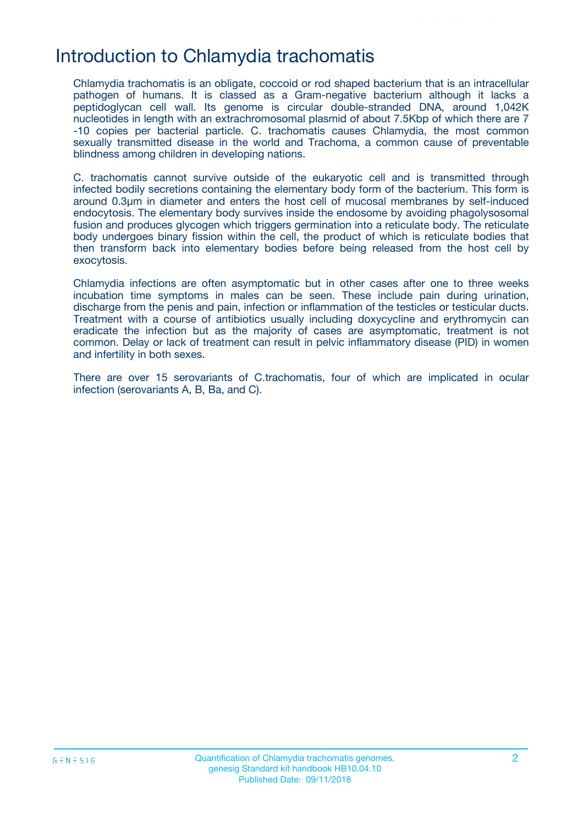# Introduction to Chlamydia trachomatis

Chlamydia trachomatis is an obligate, coccoid or rod shaped bacterium that is an intracellular pathogen of humans. It is classed as a Gram-negative bacterium although it lacks a peptidoglycan cell wall. Its genome is circular double-stranded DNA, around 1,042K nucleotides in length with an extrachromosomal plasmid of about 7.5Kbp of which there are 7 -10 copies per bacterial particle. C. trachomatis causes Chlamydia, the most common sexually transmitted disease in the world and Trachoma, a common cause of preventable blindness among children in developing nations.

C. trachomatis cannot survive outside of the eukaryotic cell and is transmitted through infected bodily secretions containing the elementary body form of the bacterium. This form is around 0.3μm in diameter and enters the host cell of mucosal membranes by self-induced endocytosis. The elementary body survives inside the endosome by avoiding phagolysosomal fusion and produces glycogen which triggers germination into a reticulate body. The reticulate body undergoes binary fission within the cell, the product of which is reticulate bodies that then transform back into elementary bodies before being released from the host cell by exocytosis.

Chlamydia infections are often asymptomatic but in other cases after one to three weeks incubation time symptoms in males can be seen. These include pain during urination, discharge from the penis and pain, infection or inflammation of the testicles or testicular ducts. Treatment with a course of antibiotics usually including doxycycline and erythromycin can eradicate the infection but as the majority of cases are asymptomatic, treatment is not common. Delay or lack of treatment can result in pelvic inflammatory disease (PID) in women and infertility in both sexes.

There are over 15 serovariants of C.trachomatis, four of which are implicated in ocular infection (serovariants A, B, Ba, and C).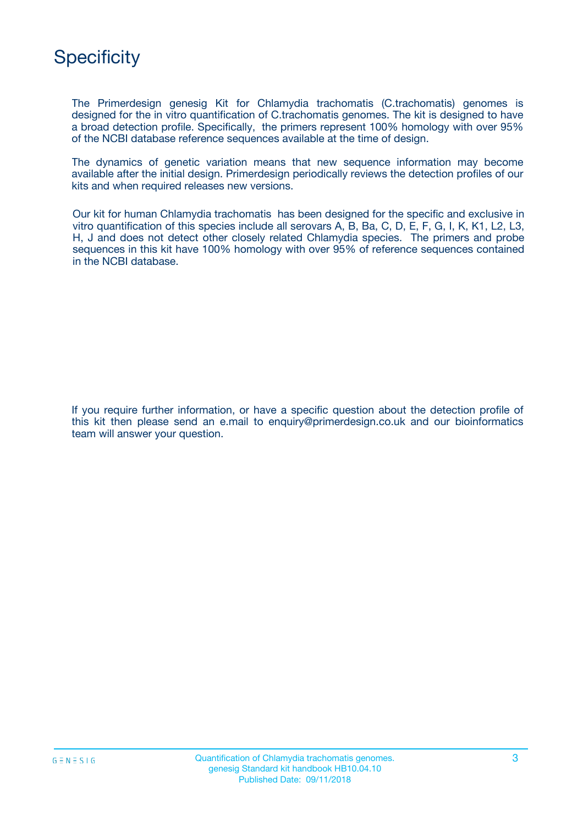

The Primerdesign genesig Kit for Chlamydia trachomatis (C.trachomatis) genomes is designed for the in vitro quantification of C.trachomatis genomes. The kit is designed to have a broad detection profile. Specifically, the primers represent 100% homology with over 95% of the NCBI database reference sequences available at the time of design.

The dynamics of genetic variation means that new sequence information may become available after the initial design. Primerdesign periodically reviews the detection profiles of our kits and when required releases new versions.

Our kit for human Chlamydia trachomatis has been designed for the specific and exclusive in vitro quantification of this species include all serovars A, B, Ba, C, D, E, F, G, I, K, K1, L2, L3, H, J and does not detect other closely related Chlamydia species. The primers and probe sequences in this kit have 100% homology with over 95% of reference sequences contained in the NCBI database.

If you require further information, or have a specific question about the detection profile of this kit then please send an e.mail to enquiry@primerdesign.co.uk and our bioinformatics team will answer your question.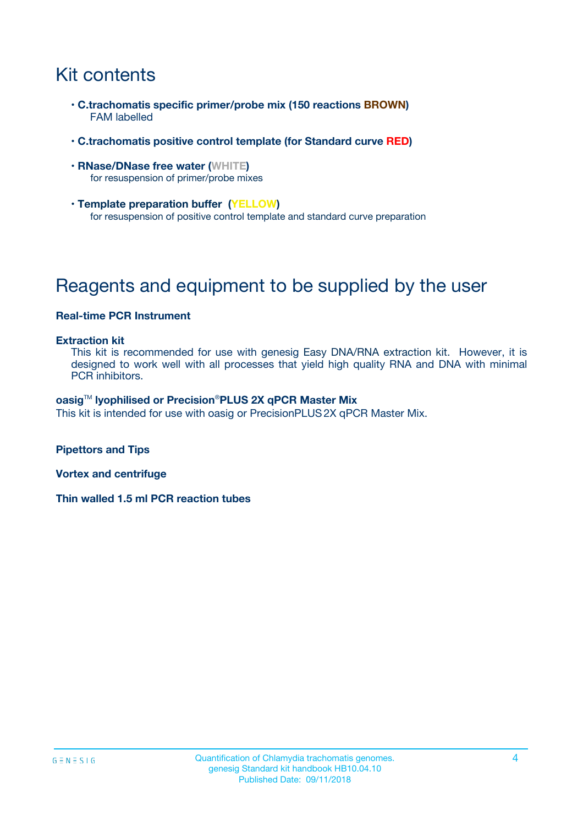# Kit contents

- **C.trachomatis specific primer/probe mix (150 reactions BROWN)** FAM labelled
- **C.trachomatis positive control template (for Standard curve RED)**
- **RNase/DNase free water (WHITE)** for resuspension of primer/probe mixes
- **Template preparation buffer (YELLOW)** for resuspension of positive control template and standard curve preparation

# Reagents and equipment to be supplied by the user

#### **Real-time PCR Instrument**

#### **Extraction kit**

This kit is recommended for use with genesig Easy DNA/RNA extraction kit. However, it is designed to work well with all processes that yield high quality RNA and DNA with minimal PCR inhibitors.

#### **oasig**TM **lyophilised or Precision**®**PLUS 2X qPCR Master Mix**

This kit is intended for use with oasig or PrecisionPLUS2X qPCR Master Mix.

**Pipettors and Tips**

**Vortex and centrifuge**

**Thin walled 1.5 ml PCR reaction tubes**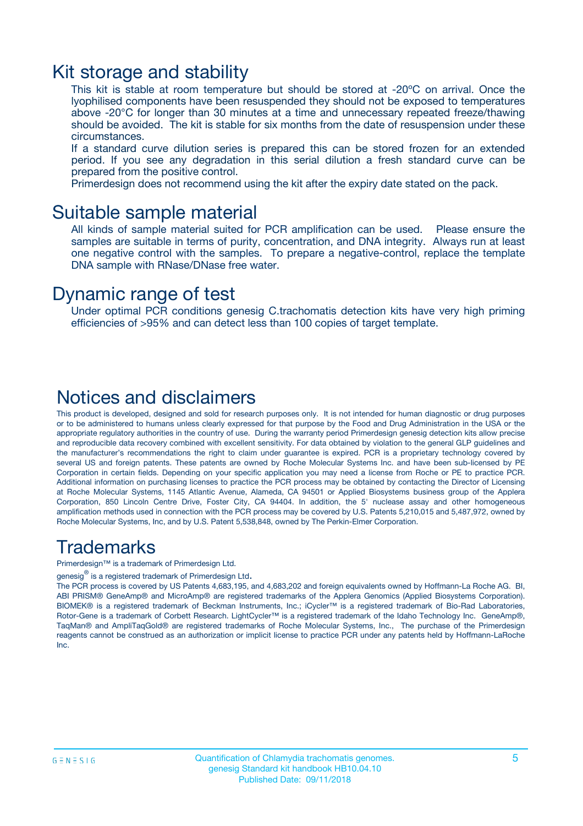### Kit storage and stability

This kit is stable at room temperature but should be stored at -20ºC on arrival. Once the lyophilised components have been resuspended they should not be exposed to temperatures above -20°C for longer than 30 minutes at a time and unnecessary repeated freeze/thawing should be avoided. The kit is stable for six months from the date of resuspension under these circumstances.

If a standard curve dilution series is prepared this can be stored frozen for an extended period. If you see any degradation in this serial dilution a fresh standard curve can be prepared from the positive control.

Primerdesign does not recommend using the kit after the expiry date stated on the pack.

### Suitable sample material

All kinds of sample material suited for PCR amplification can be used. Please ensure the samples are suitable in terms of purity, concentration, and DNA integrity. Always run at least one negative control with the samples. To prepare a negative-control, replace the template DNA sample with RNase/DNase free water.

### Dynamic range of test

Under optimal PCR conditions genesig C.trachomatis detection kits have very high priming efficiencies of >95% and can detect less than 100 copies of target template.

### Notices and disclaimers

This product is developed, designed and sold for research purposes only. It is not intended for human diagnostic or drug purposes or to be administered to humans unless clearly expressed for that purpose by the Food and Drug Administration in the USA or the appropriate regulatory authorities in the country of use. During the warranty period Primerdesign genesig detection kits allow precise and reproducible data recovery combined with excellent sensitivity. For data obtained by violation to the general GLP guidelines and the manufacturer's recommendations the right to claim under guarantee is expired. PCR is a proprietary technology covered by several US and foreign patents. These patents are owned by Roche Molecular Systems Inc. and have been sub-licensed by PE Corporation in certain fields. Depending on your specific application you may need a license from Roche or PE to practice PCR. Additional information on purchasing licenses to practice the PCR process may be obtained by contacting the Director of Licensing at Roche Molecular Systems, 1145 Atlantic Avenue, Alameda, CA 94501 or Applied Biosystems business group of the Applera Corporation, 850 Lincoln Centre Drive, Foster City, CA 94404. In addition, the 5' nuclease assay and other homogeneous amplification methods used in connection with the PCR process may be covered by U.S. Patents 5,210,015 and 5,487,972, owned by Roche Molecular Systems, Inc, and by U.S. Patent 5,538,848, owned by The Perkin-Elmer Corporation.

### Trademarks

Primerdesign™ is a trademark of Primerdesign Ltd.

genesig $^\circledR$  is a registered trademark of Primerdesign Ltd.

The PCR process is covered by US Patents 4,683,195, and 4,683,202 and foreign equivalents owned by Hoffmann-La Roche AG. BI, ABI PRISM® GeneAmp® and MicroAmp® are registered trademarks of the Applera Genomics (Applied Biosystems Corporation). BIOMEK® is a registered trademark of Beckman Instruments, Inc.; iCycler™ is a registered trademark of Bio-Rad Laboratories, Rotor-Gene is a trademark of Corbett Research. LightCycler™ is a registered trademark of the Idaho Technology Inc. GeneAmp®, TaqMan® and AmpliTaqGold® are registered trademarks of Roche Molecular Systems, Inc., The purchase of the Primerdesign reagents cannot be construed as an authorization or implicit license to practice PCR under any patents held by Hoffmann-LaRoche Inc.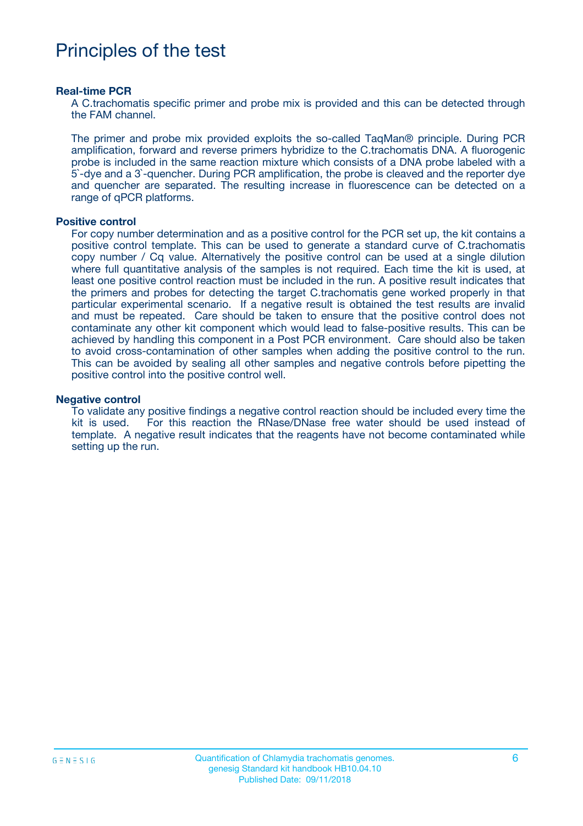# Principles of the test

#### **Real-time PCR**

A C.trachomatis specific primer and probe mix is provided and this can be detected through the FAM channel.

The primer and probe mix provided exploits the so-called TaqMan® principle. During PCR amplification, forward and reverse primers hybridize to the C.trachomatis DNA. A fluorogenic probe is included in the same reaction mixture which consists of a DNA probe labeled with a 5`-dye and a 3`-quencher. During PCR amplification, the probe is cleaved and the reporter dye and quencher are separated. The resulting increase in fluorescence can be detected on a range of qPCR platforms.

#### **Positive control**

For copy number determination and as a positive control for the PCR set up, the kit contains a positive control template. This can be used to generate a standard curve of C.trachomatis copy number / Cq value. Alternatively the positive control can be used at a single dilution where full quantitative analysis of the samples is not required. Each time the kit is used, at least one positive control reaction must be included in the run. A positive result indicates that the primers and probes for detecting the target C.trachomatis gene worked properly in that particular experimental scenario. If a negative result is obtained the test results are invalid and must be repeated. Care should be taken to ensure that the positive control does not contaminate any other kit component which would lead to false-positive results. This can be achieved by handling this component in a Post PCR environment. Care should also be taken to avoid cross-contamination of other samples when adding the positive control to the run. This can be avoided by sealing all other samples and negative controls before pipetting the positive control into the positive control well.

#### **Negative control**

To validate any positive findings a negative control reaction should be included every time the kit is used. For this reaction the RNase/DNase free water should be used instead of template. A negative result indicates that the reagents have not become contaminated while setting up the run.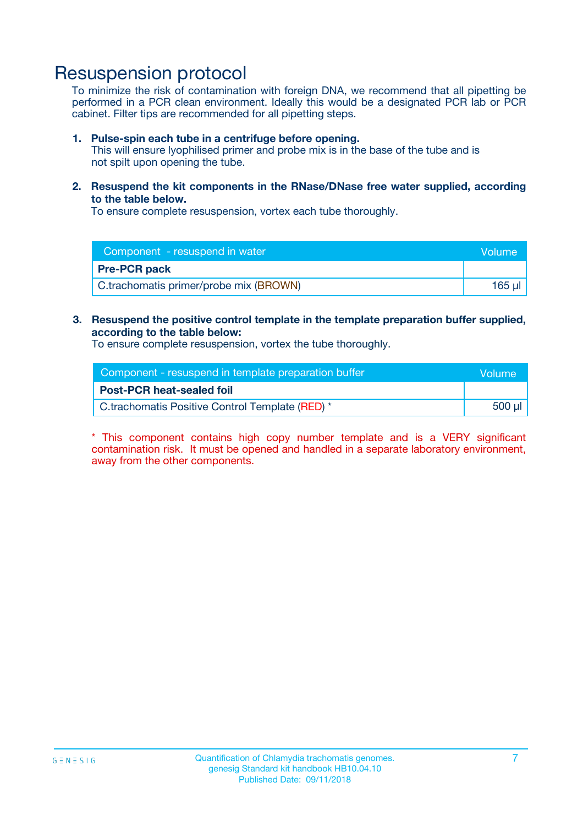## Resuspension protocol

To minimize the risk of contamination with foreign DNA, we recommend that all pipetting be performed in a PCR clean environment. Ideally this would be a designated PCR lab or PCR cabinet. Filter tips are recommended for all pipetting steps.

#### **1. Pulse-spin each tube in a centrifuge before opening.**

This will ensure lyophilised primer and probe mix is in the base of the tube and is not spilt upon opening the tube.

**2. Resuspend the kit components in the RNase/DNase free water supplied, according to the table below.**

To ensure complete resuspension, vortex each tube thoroughly.

| Component - resuspend in water         | Volume |
|----------------------------------------|--------|
| <b>Pre-PCR pack</b>                    |        |
| C.trachomatis primer/probe mix (BROWN) | 165 ul |

### **3. Resuspend the positive control template in the template preparation buffer supplied, according to the table below:**

To ensure complete resuspension, vortex the tube thoroughly.

| Component - resuspend in template preparation buffer | Wolume!     |
|------------------------------------------------------|-------------|
| <b>Post-PCR heat-sealed foil</b>                     |             |
| C.trachomatis Positive Control Template (RED) *      | $500$ $\mu$ |

\* This component contains high copy number template and is a VERY significant contamination risk. It must be opened and handled in a separate laboratory environment, away from the other components.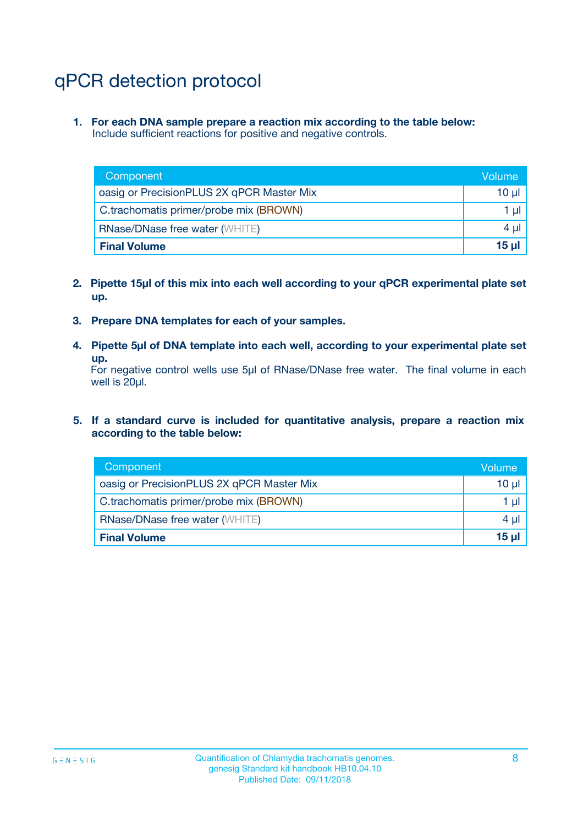# qPCR detection protocol

**1. For each DNA sample prepare a reaction mix according to the table below:** Include sufficient reactions for positive and negative controls.

| Component                                 | Volume   |
|-------------------------------------------|----------|
| oasig or PrecisionPLUS 2X qPCR Master Mix | 10 $\mu$ |
| C.trachomatis primer/probe mix (BROWN)    | 1 $\mu$  |
| <b>RNase/DNase free water (WHITE)</b>     | $4 \mu$  |
| <b>Final Volume</b>                       | $15 \mu$ |

- **2. Pipette 15µl of this mix into each well according to your qPCR experimental plate set up.**
- **3. Prepare DNA templates for each of your samples.**
- **4. Pipette 5µl of DNA template into each well, according to your experimental plate set up.**

For negative control wells use 5µl of RNase/DNase free water. The final volume in each well is 20µl.

**5. If a standard curve is included for quantitative analysis, prepare a reaction mix according to the table below:**

| Component                                 | Volume          |
|-------------------------------------------|-----------------|
| oasig or PrecisionPLUS 2X qPCR Master Mix | 10 µl           |
| C.trachomatis primer/probe mix (BROWN)    | 1 µI            |
| <b>RNase/DNase free water (WHITE)</b>     | $4 \mu$         |
| <b>Final Volume</b>                       | 15 <sub>µ</sub> |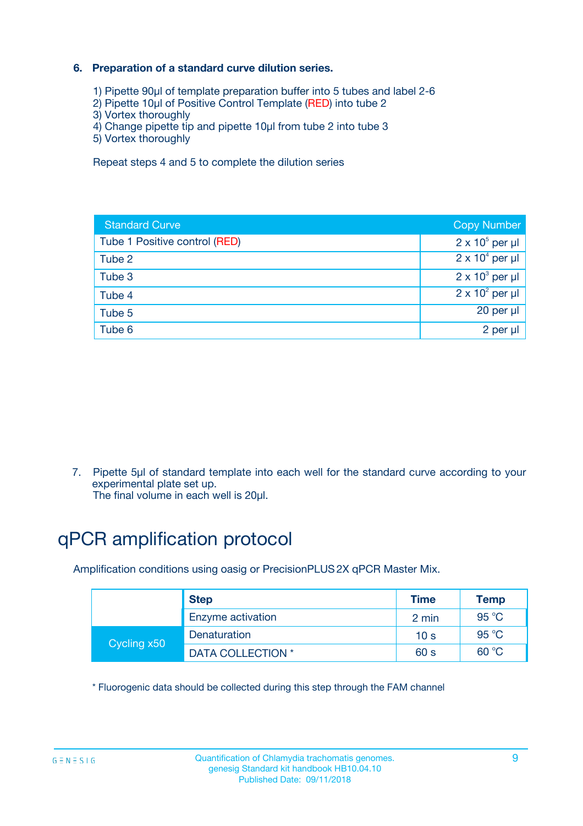### **6. Preparation of a standard curve dilution series.**

- 1) Pipette 90µl of template preparation buffer into 5 tubes and label 2-6
- 2) Pipette 10µl of Positive Control Template (RED) into tube 2
- 3) Vortex thoroughly
- 4) Change pipette tip and pipette 10µl from tube 2 into tube 3
- 5) Vortex thoroughly

Repeat steps 4 and 5 to complete the dilution series

| <b>Standard Curve</b>         | <b>Copy Number</b>     |
|-------------------------------|------------------------|
| Tube 1 Positive control (RED) | $2 \times 10^5$ per µl |
| Tube 2                        | $2 \times 10^4$ per µl |
| Tube 3                        | $2 \times 10^3$ per µl |
| Tube 4                        | $2 \times 10^2$ per µl |
| Tube 5                        | 20 per µl              |
| Tube 6                        | $2$ per $\mu$          |

7. Pipette 5µl of standard template into each well for the standard curve according to your experimental plate set up.

The final volume in each well is 20µl.

# qPCR amplification protocol

Amplification conditions using oasig or PrecisionPLUS2X qPCR Master Mix.

|             | <b>Step</b>       | <b>Time</b>     | <b>Temp</b>    |
|-------------|-------------------|-----------------|----------------|
|             | Enzyme activation | 2 min           | $95^{\circ}$ C |
| Cycling x50 | Denaturation      | 10 <sub>s</sub> | 95 $°C$        |
|             | DATA COLLECTION * | 60 s            | 60 °C          |

\* Fluorogenic data should be collected during this step through the FAM channel